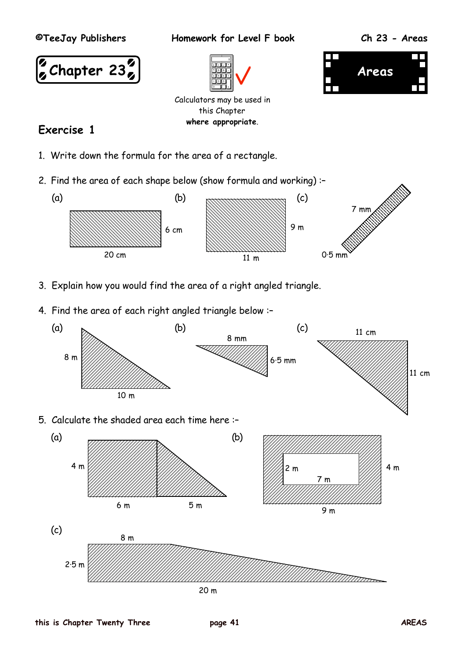



- 3. Explain how you would find the area of a right angled triangle.
- 4. Find the area of each right angled triangle below :–

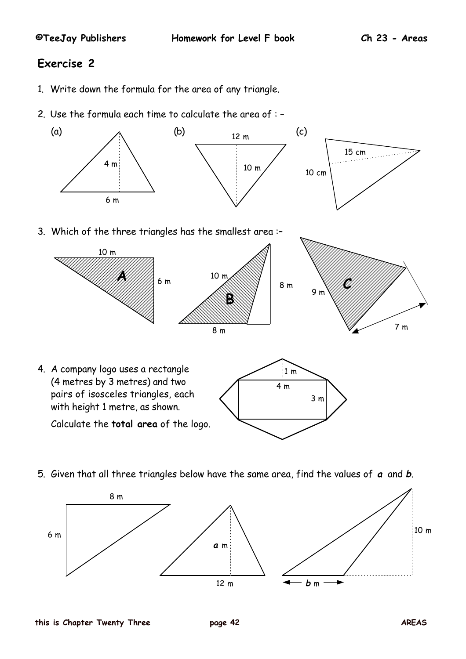# **Exercise 2**

- 1. Write down the formula for the area of any triangle.
- 2. Use the formula each time to calculate the area of : –



3. Which of the three triangles has the smallest area :–



5. Given that all three triangles below have the same area, find the values of **a** and **b**.

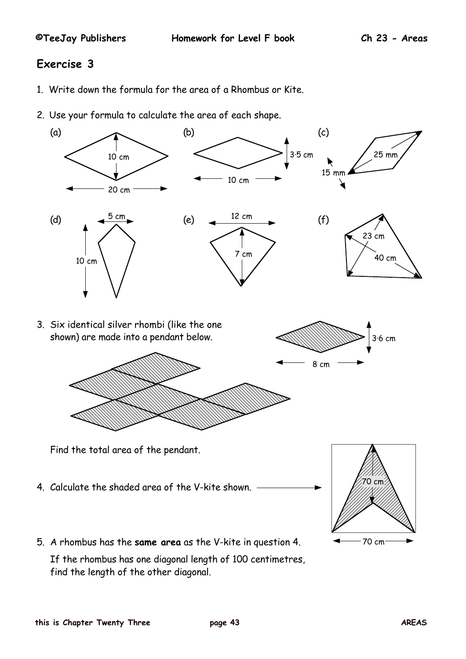## **Exercise 3**

- 1. Write down the formula for the area of a Rhombus or Kite.
- 2. Use your formula to calculate the area of each shape.



If the rhombus has one diagonal length of 100 centimetres, find the length of the other diagonal.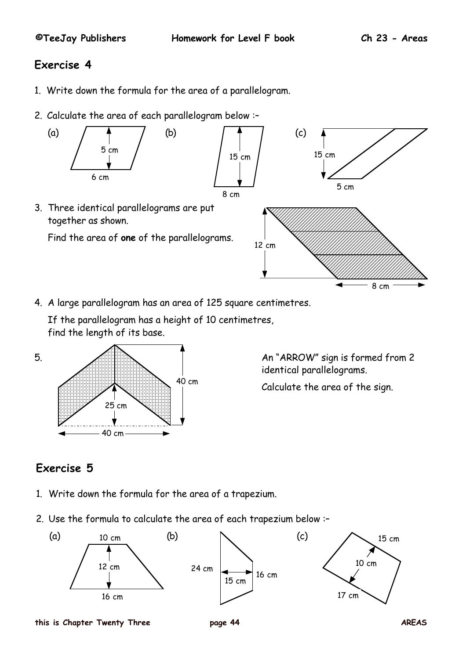# **Exercise 4**

- 1. Write down the formula for the area of a parallelogram.
- 2. Calculate the area of each parallelogram below :–



4. A large parallelogram has an area of 125 square centimetres.

If the parallelogram has a height of 10 centimetres, find the length of its base.



identical parallelograms.

Calculate the area of the sign.

# **Exercise 5**

- 1. Write down the formula for the area of a trapezium.
- 2. Use the formula to calculate the area of each trapezium below :–



**this is Chapter Twenty Three page 44 AREAS**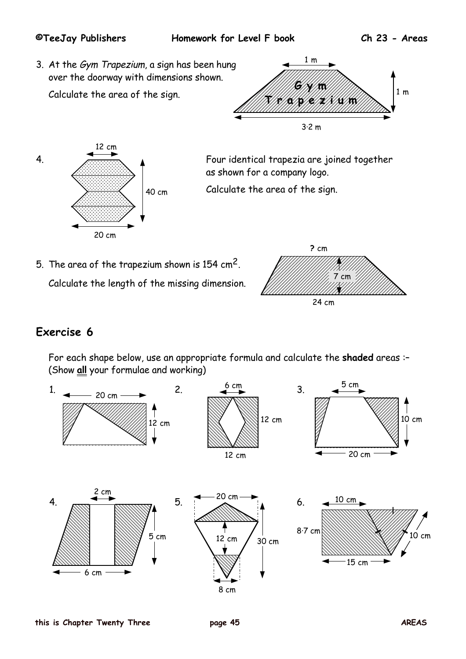### **©TeeJay Publishers Homework for Level F book Ch 23 - Areas**

3. At the Gym Trapezium, a sign has been hung over the doorway with dimensions shown.

Calculate the area of the sign.





4. Four identical trapezia are joined together as shown for a company logo.

Calculate the area of the sign.

5. The area of the trapezium shown is 154 cm2.

Calculate the length of the missing dimension.



# **Exercise 6**

For each shape below, use an appropriate formula and calculate the **shaded** areas :– (Show **all** your formulae and working)